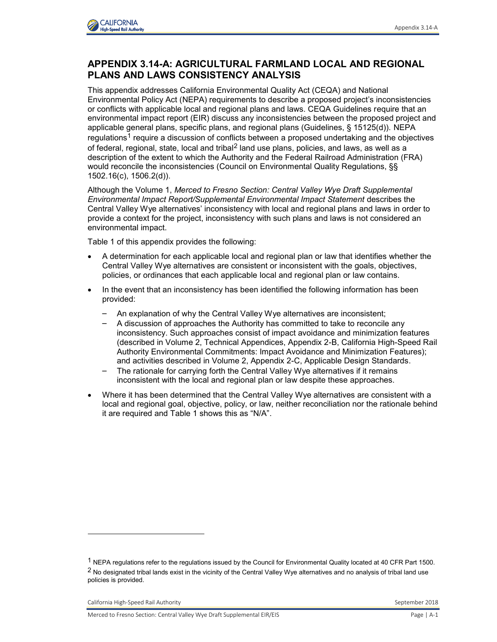

## **APPENDIX 3.14-A: AGRICULTURAL FARMLAND LOCAL AND REGIONAL PLANS AND LAWS CONSISTENCY ANALYSIS**

This appendix addresses California Environmental Quality Act (CEQA) and National Environmental Policy Act (NEPA) requirements to describe a proposed project's inconsistencies or conflicts with applicable local and regional plans and laws. CEQA Guidelines require that an environmental impact report (EIR) discuss any inconsistencies between the proposed project and applicable general plans, specific plans, and regional plans (Guidelines, § 15125(d)). NEPA regulations<sup>1</sup> require a discussion of conflicts between a proposed undertaking and the objectives of federal, regional, state, local and tribal<sup>2</sup> land use plans, policies, and laws, as well as a description of the extent to which the Authority and the Federal Railroad Administration (FRA) would reconcile the inconsistencies (Council on Environmental Quality Regulations, §§ 1502.16(c), 1506.2(d)).

Although the Volume 1, *Merced to Fresno Section: Central Valley Wye Draft Supplemental Environmental Impact Report/Supplemental Environmental Impact Statement* describes the Central Valley Wye alternatives' inconsistency with local and regional plans and laws in order to provide a context for the project, inconsistency with such plans and laws is not considered an environmental impact.

Table 1 of this appendix provides the following:

- A determination for each applicable local and regional plan or law that identifies whether the Central Valley Wye alternatives are consistent or inconsistent with the goals, objectives, policies, or ordinances that each applicable local and regional plan or law contains.
- In the event that an inconsistency has been identified the following information has been provided:
	- An explanation of why the Central Valley Wye alternatives are inconsistent;
	- A discussion of approaches the Authority has committed to take to reconcile any inconsistency. Such approaches consist of impact avoidance and minimization features (described in Volume 2, Technical Appendices, Appendix 2-B, California High-Speed Rail Authority Environmental Commitments: Impact Avoidance and Minimization Features); and activities described in Volume 2, Appendix 2-C, Applicable Design Standards.
	- The rationale for carrying forth the Central Valley Wye alternatives if it remains inconsistent with the local and regional plan or law despite these approaches.
- Where it has been determined that the Central Valley Wye alternatives are consistent with a local and regional goal, objective, policy, or law, neither reconciliation nor the rationale behind it are required and Table 1 shows this as "N/A".

-

<sup>1</sup> NEPA regulations refer to the regulations issued by the Council for Environmental Quality located at 40 CFR Part 1500. <sup>2</sup> No designated tribal lands exist in the vicinity of the Central Valley Wye alternatives and no analysis of tribal land use policies is provided.

California High-Speed Rail Authority **September 2018** September 2018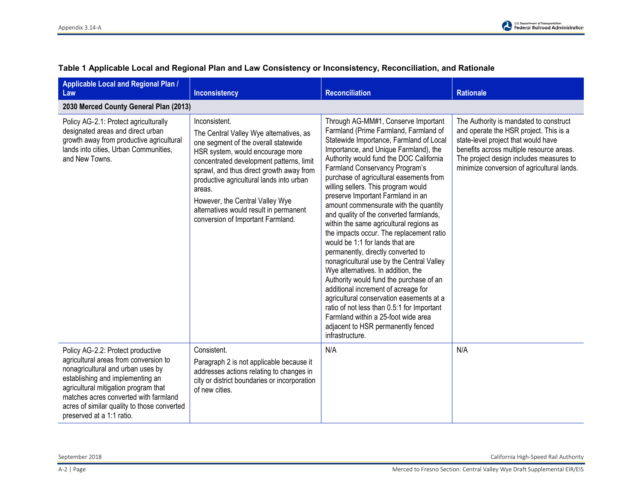| Applicable Local and Regional Plan /<br>Law                                                                                                                                                                                                                                                                      | <b>Inconsistency</b>                                                                                                                                                                                                                                                                                                                                                                                 | <b>Reconciliation</b>                                                                                                                                                                                                                                                                                                                                                                                                                                                                                                                                                                                                                                                                                                                                                                                                                                                                                                                                                                   | <b>Rationale</b>                                                                                                                                                                                                                                             |
|------------------------------------------------------------------------------------------------------------------------------------------------------------------------------------------------------------------------------------------------------------------------------------------------------------------|------------------------------------------------------------------------------------------------------------------------------------------------------------------------------------------------------------------------------------------------------------------------------------------------------------------------------------------------------------------------------------------------------|-----------------------------------------------------------------------------------------------------------------------------------------------------------------------------------------------------------------------------------------------------------------------------------------------------------------------------------------------------------------------------------------------------------------------------------------------------------------------------------------------------------------------------------------------------------------------------------------------------------------------------------------------------------------------------------------------------------------------------------------------------------------------------------------------------------------------------------------------------------------------------------------------------------------------------------------------------------------------------------------|--------------------------------------------------------------------------------------------------------------------------------------------------------------------------------------------------------------------------------------------------------------|
| 2030 Merced County General Plan (2013)                                                                                                                                                                                                                                                                           |                                                                                                                                                                                                                                                                                                                                                                                                      |                                                                                                                                                                                                                                                                                                                                                                                                                                                                                                                                                                                                                                                                                                                                                                                                                                                                                                                                                                                         |                                                                                                                                                                                                                                                              |
| Policy AG-2.1: Protect agriculturally<br>designated areas and direct urban<br>growth away from productive agricultural<br>lands into cities, Urban Communities,<br>and New Towns.                                                                                                                                | Inconsistent.<br>The Central Valley Wye alternatives, as<br>one segment of the overall statewide<br>HSR system, would encourage more<br>concentrated development patterns, limit<br>sprawl, and thus direct growth away from<br>productive agricultural lands into urban<br>areas.<br>However, the Central Valley Wye<br>alternatives would result in permanent<br>conversion of Important Farmland. | Through AG-MM#1, Conserve Important<br>Farmland (Prime Farmland, Farmland of<br>Statewide Importance, Farmland of Local<br>Importance, and Unique Farmland), the<br>Authority would fund the DOC California<br>Farmland Conservancy Program's<br>purchase of agricultural easements from<br>willing sellers. This program would<br>preserve Important Farmland in an<br>amount commensurate with the quantity<br>and quality of the converted farmlands,<br>within the same agricultural regions as<br>the impacts occur. The replacement ratio<br>would be 1:1 for lands that are<br>permanently, directly converted to<br>nonagricultural use by the Central Valley<br>Wye alternatives. In addition, the<br>Authority would fund the purchase of an<br>additional increment of acreage for<br>agricultural conservation easements at a<br>ratio of not less than 0.5:1 for Important<br>Farmland within a 25-foot wide area<br>adjacent to HSR permanently fenced<br>infrastructure. | The Authority is mandated to construct<br>and operate the HSR project. This is a<br>state-level project that would have<br>benefits across multiple resource areas.<br>The project design includes measures to<br>minimize conversion of agricultural lands. |
| Policy AG-2.2: Protect productive<br>agricultural areas from conversion to<br>nonagricultural and urban uses by<br>establishing and implementing an<br>agricultural mitigation program that<br>matches acres converted with farmland<br>acres of similar quality to those converted<br>preserved at a 1:1 ratio. | Consistent.<br>Paragraph 2 is not applicable because it<br>addresses actions relating to changes in<br>city or district boundaries or incorporation<br>of new cities.                                                                                                                                                                                                                                | N/A                                                                                                                                                                                                                                                                                                                                                                                                                                                                                                                                                                                                                                                                                                                                                                                                                                                                                                                                                                                     | N/A                                                                                                                                                                                                                                                          |

## **Table 1 Applicable Local and Regional Plan and Law Consistency or Inconsistency, Reconciliation, and Rationale**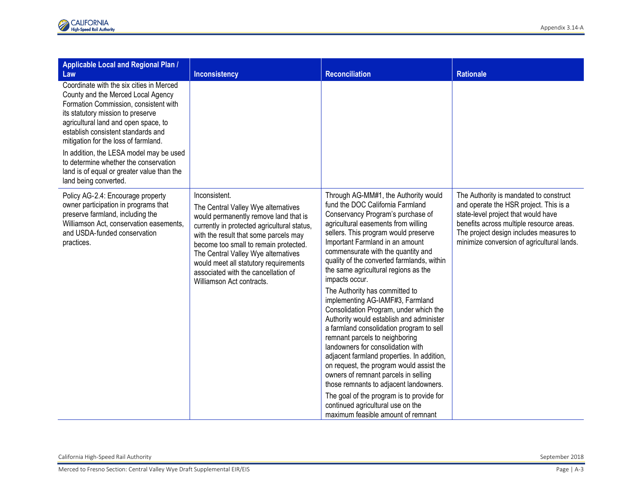| Applicable Local and Regional Plan /<br>Law                                                                                                                                                                                                                                                                                                                                                                                                   | <b>Inconsistency</b>                                                                                                                                                                                                                                                                                                                                                               | <b>Reconciliation</b>                                                                                                                                                                                                                                                                                                                                                                                                                                                                                                                                                                                                                                                                                                                                                                                                                                                                                                                                            | <b>Rationale</b>                                                                                                                                                                                                                                             |
|-----------------------------------------------------------------------------------------------------------------------------------------------------------------------------------------------------------------------------------------------------------------------------------------------------------------------------------------------------------------------------------------------------------------------------------------------|------------------------------------------------------------------------------------------------------------------------------------------------------------------------------------------------------------------------------------------------------------------------------------------------------------------------------------------------------------------------------------|------------------------------------------------------------------------------------------------------------------------------------------------------------------------------------------------------------------------------------------------------------------------------------------------------------------------------------------------------------------------------------------------------------------------------------------------------------------------------------------------------------------------------------------------------------------------------------------------------------------------------------------------------------------------------------------------------------------------------------------------------------------------------------------------------------------------------------------------------------------------------------------------------------------------------------------------------------------|--------------------------------------------------------------------------------------------------------------------------------------------------------------------------------------------------------------------------------------------------------------|
| Coordinate with the six cities in Merced<br>County and the Merced Local Agency<br>Formation Commission, consistent with<br>its statutory mission to preserve<br>agricultural land and open space, to<br>establish consistent standards and<br>mitigation for the loss of farmland.<br>In addition, the LESA model may be used<br>to determine whether the conservation<br>land is of equal or greater value than the<br>land being converted. |                                                                                                                                                                                                                                                                                                                                                                                    |                                                                                                                                                                                                                                                                                                                                                                                                                                                                                                                                                                                                                                                                                                                                                                                                                                                                                                                                                                  |                                                                                                                                                                                                                                                              |
| Policy AG-2.4: Encourage property<br>owner participation in programs that<br>preserve farmland, including the<br>Williamson Act, conservation easements,<br>and USDA-funded conservation<br>practices.                                                                                                                                                                                                                                        | Inconsistent.<br>The Central Valley Wye alternatives<br>would permanently remove land that is<br>currently in protected agricultural status,<br>with the result that some parcels may<br>become too small to remain protected.<br>The Central Valley Wye alternatives<br>would meet all statutory requirements<br>associated with the cancellation of<br>Williamson Act contracts. | Through AG-MM#1, the Authority would<br>fund the DOC California Farmland<br>Conservancy Program's purchase of<br>agricultural easements from willing<br>sellers. This program would preserve<br>Important Farmland in an amount<br>commensurate with the quantity and<br>quality of the converted farmlands, within<br>the same agricultural regions as the<br>impacts occur.<br>The Authority has committed to<br>implementing AG-IAMF#3, Farmland<br>Consolidation Program, under which the<br>Authority would establish and administer<br>a farmland consolidation program to sell<br>remnant parcels to neighboring<br>landowners for consolidation with<br>adjacent farmland properties. In addition,<br>on request, the program would assist the<br>owners of remnant parcels in selling<br>those remnants to adjacent landowners.<br>The goal of the program is to provide for<br>continued agricultural use on the<br>maximum feasible amount of remnant | The Authority is mandated to construct<br>and operate the HSR project. This is a<br>state-level project that would have<br>benefits across multiple resource areas.<br>The project design includes measures to<br>minimize conversion of agricultural lands. |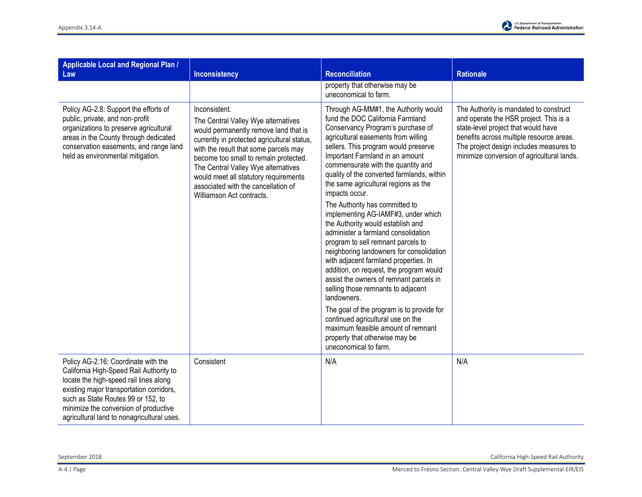

| <b>Applicable Local and Regional Plan /</b><br>Law                                                                                                                                                                                                                                                | <b>Inconsistency</b>                                                                                                                                                                                                                                                                                                                                                               | <b>Reconciliation</b>                                                                                                                                                                                                                                                                                                                                                                                                                                                                                                                                                                                                                                                                                                                                                                                                                                                                                                                                                                       | <b>Rationale</b>                                                                                                                                                                                                                                             |
|---------------------------------------------------------------------------------------------------------------------------------------------------------------------------------------------------------------------------------------------------------------------------------------------------|------------------------------------------------------------------------------------------------------------------------------------------------------------------------------------------------------------------------------------------------------------------------------------------------------------------------------------------------------------------------------------|---------------------------------------------------------------------------------------------------------------------------------------------------------------------------------------------------------------------------------------------------------------------------------------------------------------------------------------------------------------------------------------------------------------------------------------------------------------------------------------------------------------------------------------------------------------------------------------------------------------------------------------------------------------------------------------------------------------------------------------------------------------------------------------------------------------------------------------------------------------------------------------------------------------------------------------------------------------------------------------------|--------------------------------------------------------------------------------------------------------------------------------------------------------------------------------------------------------------------------------------------------------------|
|                                                                                                                                                                                                                                                                                                   |                                                                                                                                                                                                                                                                                                                                                                                    | property that otherwise may be<br>uneconomical to farm.                                                                                                                                                                                                                                                                                                                                                                                                                                                                                                                                                                                                                                                                                                                                                                                                                                                                                                                                     |                                                                                                                                                                                                                                                              |
| Policy AG-2.8: Support the efforts of<br>public, private, and non-profit<br>organizations to preserve agricultural<br>areas in the County through dedicated<br>conservation easements, and range land<br>held as environmental mitigation.                                                        | Inconsistent.<br>The Central Valley Wye alternatives<br>would permanently remove land that is<br>currently in protected agricultural status,<br>with the result that some parcels may<br>become too small to remain protected.<br>The Central Valley Wye alternatives<br>would meet all statutory requirements<br>associated with the cancellation of<br>Williamson Act contracts. | Through AG-MM#1, the Authority would<br>fund the DOC California Farmland<br>Conservancy Program's purchase of<br>agricultural easements from willing<br>sellers. This program would preserve<br>Important Farmland in an amount<br>commensurate with the quantity and<br>quality of the converted farmlands, within<br>the same agricultural regions as the<br>impacts occur.<br>The Authority has committed to<br>implementing AG-IAMF#3, under which<br>the Authority would establish and<br>administer a farmland consolidation<br>program to sell remnant parcels to<br>neighboring landowners for consolidation<br>with adjacent farmland properties. In<br>addition, on request, the program would<br>assist the owners of remnant parcels in<br>selling those remnants to adjacent<br>landowners.<br>The goal of the program is to provide for<br>continued agricultural use on the<br>maximum feasible amount of remnant<br>property that otherwise may be<br>uneconomical to farm. | The Authority is mandated to construct<br>and operate the HSR project. This is a<br>state-level project that would have<br>benefits across multiple resource areas.<br>The project design includes measures to<br>minimize conversion of agricultural lands. |
| Policy AG-2.16: Coordinate with the<br>California High-Speed Rail Authority to<br>locate the high-speed rail lines along<br>existing major transportation corridors,<br>such as State Routes 99 or 152, to<br>minimize the conversion of productive<br>agricultural land to nonagricultural uses. | Consistent                                                                                                                                                                                                                                                                                                                                                                         | N/A                                                                                                                                                                                                                                                                                                                                                                                                                                                                                                                                                                                                                                                                                                                                                                                                                                                                                                                                                                                         | N/A                                                                                                                                                                                                                                                          |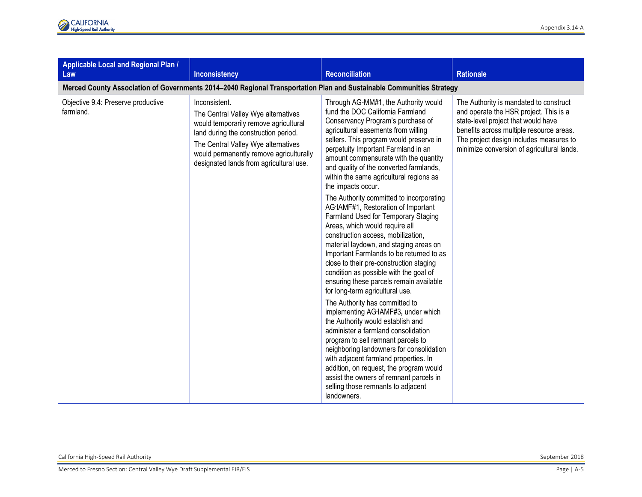| <b>Applicable Local and Regional Plan /</b><br>Law | Inconsistency                                                                                                                                                                                                                                                      | <b>Reconciliation</b>                                                                                                                                                                                                                                                                                                                                                                                                                                                                                                                                                                                                                                                                                                                                                                                                                                                                                                                                                                                                                                                                                                                                                                                                                                                             | <b>Rationale</b>                                                                                                                                                                                                                                             |
|----------------------------------------------------|--------------------------------------------------------------------------------------------------------------------------------------------------------------------------------------------------------------------------------------------------------------------|-----------------------------------------------------------------------------------------------------------------------------------------------------------------------------------------------------------------------------------------------------------------------------------------------------------------------------------------------------------------------------------------------------------------------------------------------------------------------------------------------------------------------------------------------------------------------------------------------------------------------------------------------------------------------------------------------------------------------------------------------------------------------------------------------------------------------------------------------------------------------------------------------------------------------------------------------------------------------------------------------------------------------------------------------------------------------------------------------------------------------------------------------------------------------------------------------------------------------------------------------------------------------------------|--------------------------------------------------------------------------------------------------------------------------------------------------------------------------------------------------------------------------------------------------------------|
|                                                    | Merced County Association of Governments 2014-2040 Regional Transportation Plan and Sustainable Communities Strategy                                                                                                                                               |                                                                                                                                                                                                                                                                                                                                                                                                                                                                                                                                                                                                                                                                                                                                                                                                                                                                                                                                                                                                                                                                                                                                                                                                                                                                                   |                                                                                                                                                                                                                                                              |
| Objective 9.4: Preserve productive<br>farmland.    | Inconsistent.<br>The Central Valley Wye alternatives<br>would temporarily remove agricultural<br>land during the construction period.<br>The Central Valley Wye alternatives<br>would permanently remove agriculturally<br>designated lands from agricultural use. | Through AG-MM#1, the Authority would<br>fund the DOC California Farmland<br>Conservancy Program's purchase of<br>agricultural easements from willing<br>sellers. This program would preserve in<br>perpetuity Important Farmland in an<br>amount commensurate with the quantity<br>and quality of the converted farmlands,<br>within the same agricultural regions as<br>the impacts occur.<br>The Authority committed to incorporating<br>AG-IAMF#1, Restoration of Important<br>Farmland Used for Temporary Staging<br>Areas, which would require all<br>construction access, mobilization,<br>material laydown, and staging areas on<br>Important Farmlands to be returned to as<br>close to their pre-construction staging<br>condition as possible with the goal of<br>ensuring these parcels remain available<br>for long-term agricultural use.<br>The Authority has committed to<br>implementing AG-IAMF#3, under which<br>the Authority would establish and<br>administer a farmland consolidation<br>program to sell remnant parcels to<br>neighboring landowners for consolidation<br>with adjacent farmland properties. In<br>addition, on request, the program would<br>assist the owners of remnant parcels in<br>selling those remnants to adjacent<br>landowners. | The Authority is mandated to construct<br>and operate the HSR project. This is a<br>state-level project that would have<br>benefits across multiple resource areas.<br>The project design includes measures to<br>minimize conversion of agricultural lands. |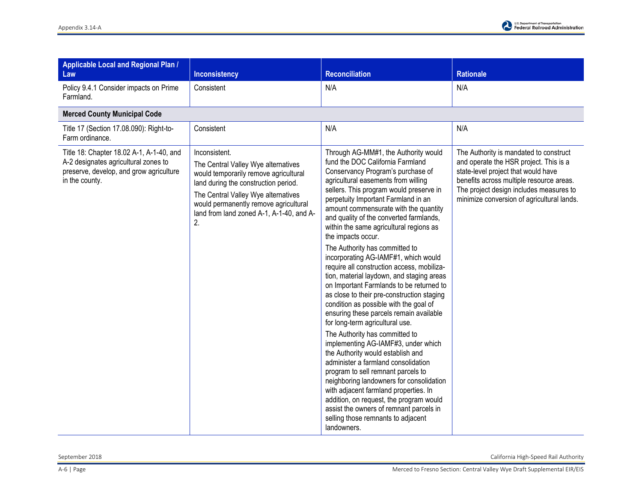

| <b>Applicable Local and Regional Plan /</b><br>Law                                                                                            | <b>Inconsistency</b>                                                                                                                                                                                                                                                    | <b>Reconciliation</b>                                                                                                                                                                                                                                                                                                                                                                                                                                                                                                                                                                                                                                                                                                                                                                                                                                                                                                                                                                                                                                                                                                                                                                                         | <b>Rationale</b>                                                                                                                                                                                                                                             |
|-----------------------------------------------------------------------------------------------------------------------------------------------|-------------------------------------------------------------------------------------------------------------------------------------------------------------------------------------------------------------------------------------------------------------------------|---------------------------------------------------------------------------------------------------------------------------------------------------------------------------------------------------------------------------------------------------------------------------------------------------------------------------------------------------------------------------------------------------------------------------------------------------------------------------------------------------------------------------------------------------------------------------------------------------------------------------------------------------------------------------------------------------------------------------------------------------------------------------------------------------------------------------------------------------------------------------------------------------------------------------------------------------------------------------------------------------------------------------------------------------------------------------------------------------------------------------------------------------------------------------------------------------------------|--------------------------------------------------------------------------------------------------------------------------------------------------------------------------------------------------------------------------------------------------------------|
| Policy 9.4.1 Consider impacts on Prime<br>Farmland.                                                                                           | Consistent                                                                                                                                                                                                                                                              | N/A                                                                                                                                                                                                                                                                                                                                                                                                                                                                                                                                                                                                                                                                                                                                                                                                                                                                                                                                                                                                                                                                                                                                                                                                           | N/A                                                                                                                                                                                                                                                          |
| <b>Merced County Municipal Code</b>                                                                                                           |                                                                                                                                                                                                                                                                         |                                                                                                                                                                                                                                                                                                                                                                                                                                                                                                                                                                                                                                                                                                                                                                                                                                                                                                                                                                                                                                                                                                                                                                                                               |                                                                                                                                                                                                                                                              |
| Title 17 (Section 17.08.090): Right-to-<br>Farm ordinance.                                                                                    | Consistent                                                                                                                                                                                                                                                              | N/A                                                                                                                                                                                                                                                                                                                                                                                                                                                                                                                                                                                                                                                                                                                                                                                                                                                                                                                                                                                                                                                                                                                                                                                                           | N/A                                                                                                                                                                                                                                                          |
| Title 18: Chapter 18.02 A-1, A-1-40, and<br>A-2 designates agricultural zones to<br>preserve, develop, and grow agriculture<br>in the county. | Inconsistent.<br>The Central Valley Wye alternatives<br>would temporarily remove agricultural<br>land during the construction period.<br>The Central Valley Wye alternatives<br>would permanently remove agricultural<br>land from land zoned A-1, A-1-40, and A-<br>2. | Through AG-MM#1, the Authority would<br>fund the DOC California Farmland<br>Conservancy Program's purchase of<br>agricultural easements from willing<br>sellers. This program would preserve in<br>perpetuity Important Farmland in an<br>amount commensurate with the quantity<br>and quality of the converted farmlands,<br>within the same agricultural regions as<br>the impacts occur.<br>The Authority has committed to<br>incorporating AG-IAMF#1, which would<br>require all construction access, mobiliza-<br>tion, material laydown, and staging areas<br>on Important Farmlands to be returned to<br>as close to their pre-construction staging<br>condition as possible with the goal of<br>ensuring these parcels remain available<br>for long-term agricultural use.<br>The Authority has committed to<br>implementing AG-IAMF#3, under which<br>the Authority would establish and<br>administer a farmland consolidation<br>program to sell remnant parcels to<br>neighboring landowners for consolidation<br>with adjacent farmland properties. In<br>addition, on request, the program would<br>assist the owners of remnant parcels in<br>selling those remnants to adjacent<br>landowners. | The Authority is mandated to construct<br>and operate the HSR project. This is a<br>state-level project that would have<br>benefits across multiple resource areas.<br>The project design includes measures to<br>minimize conversion of agricultural lands. |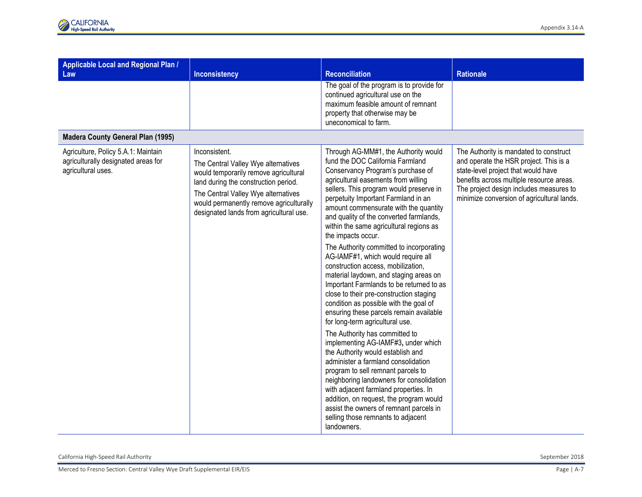| Applicable Local and Regional Plan /<br>Law                                                      | <b>Inconsistency</b>                                                                                                                                                                                                                                               | <b>Reconciliation</b>                                                                                                                                                                                                                                                                                                                                                                                                                                                                                                                                                                                                                                                                                                                                                                                                                                                                                                                                                                                                                                                                                                                                                                                   | <b>Rationale</b>                                                                                                                                                                                                                                             |
|--------------------------------------------------------------------------------------------------|--------------------------------------------------------------------------------------------------------------------------------------------------------------------------------------------------------------------------------------------------------------------|---------------------------------------------------------------------------------------------------------------------------------------------------------------------------------------------------------------------------------------------------------------------------------------------------------------------------------------------------------------------------------------------------------------------------------------------------------------------------------------------------------------------------------------------------------------------------------------------------------------------------------------------------------------------------------------------------------------------------------------------------------------------------------------------------------------------------------------------------------------------------------------------------------------------------------------------------------------------------------------------------------------------------------------------------------------------------------------------------------------------------------------------------------------------------------------------------------|--------------------------------------------------------------------------------------------------------------------------------------------------------------------------------------------------------------------------------------------------------------|
|                                                                                                  |                                                                                                                                                                                                                                                                    | The goal of the program is to provide for<br>continued agricultural use on the<br>maximum feasible amount of remnant<br>property that otherwise may be<br>uneconomical to farm.                                                                                                                                                                                                                                                                                                                                                                                                                                                                                                                                                                                                                                                                                                                                                                                                                                                                                                                                                                                                                         |                                                                                                                                                                                                                                                              |
| <b>Madera County General Plan (1995)</b>                                                         |                                                                                                                                                                                                                                                                    |                                                                                                                                                                                                                                                                                                                                                                                                                                                                                                                                                                                                                                                                                                                                                                                                                                                                                                                                                                                                                                                                                                                                                                                                         |                                                                                                                                                                                                                                                              |
| Agriculture, Policy 5.A.1: Maintain<br>agriculturally designated areas for<br>agricultural uses. | Inconsistent.<br>The Central Valley Wye alternatives<br>would temporarily remove agricultural<br>land during the construction period.<br>The Central Valley Wye alternatives<br>would permanently remove agriculturally<br>designated lands from agricultural use. | Through AG-MM#1, the Authority would<br>fund the DOC California Farmland<br>Conservancy Program's purchase of<br>agricultural easements from willing<br>sellers. This program would preserve in<br>perpetuity Important Farmland in an<br>amount commensurate with the quantity<br>and quality of the converted farmlands,<br>within the same agricultural regions as<br>the impacts occur.<br>The Authority committed to incorporating<br>AG-IAMF#1, which would require all<br>construction access, mobilization,<br>material laydown, and staging areas on<br>Important Farmlands to be returned to as<br>close to their pre-construction staging<br>condition as possible with the goal of<br>ensuring these parcels remain available<br>for long-term agricultural use.<br>The Authority has committed to<br>implementing AG-IAMF#3, under which<br>the Authority would establish and<br>administer a farmland consolidation<br>program to sell remnant parcels to<br>neighboring landowners for consolidation<br>with adjacent farmland properties. In<br>addition, on request, the program would<br>assist the owners of remnant parcels in<br>selling those remnants to adjacent<br>landowners. | The Authority is mandated to construct<br>and operate the HSR project. This is a<br>state-level project that would have<br>benefits across multiple resource areas.<br>The project design includes measures to<br>minimize conversion of agricultural lands. |

California High-Speed Rail Authority September 2018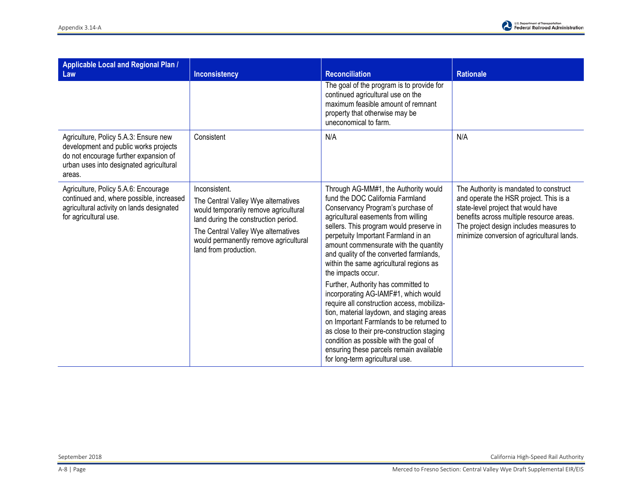

| Applicable Local and Regional Plan /<br>Law                                                                                                                                  | <b>Inconsistency</b>                                                                                                                                                                                                                           | <b>Reconciliation</b>                                                                                                                                                                                                                                                                                                                                                                                                                                                                                                                                                                                                                                                                                                                                                                   | <b>Rationale</b>                                                                                                                                                                                                                                             |
|------------------------------------------------------------------------------------------------------------------------------------------------------------------------------|------------------------------------------------------------------------------------------------------------------------------------------------------------------------------------------------------------------------------------------------|-----------------------------------------------------------------------------------------------------------------------------------------------------------------------------------------------------------------------------------------------------------------------------------------------------------------------------------------------------------------------------------------------------------------------------------------------------------------------------------------------------------------------------------------------------------------------------------------------------------------------------------------------------------------------------------------------------------------------------------------------------------------------------------------|--------------------------------------------------------------------------------------------------------------------------------------------------------------------------------------------------------------------------------------------------------------|
|                                                                                                                                                                              |                                                                                                                                                                                                                                                | The goal of the program is to provide for<br>continued agricultural use on the<br>maximum feasible amount of remnant<br>property that otherwise may be<br>uneconomical to farm.                                                                                                                                                                                                                                                                                                                                                                                                                                                                                                                                                                                                         |                                                                                                                                                                                                                                                              |
| Agriculture, Policy 5.A.3: Ensure new<br>development and public works projects<br>do not encourage further expansion of<br>urban uses into designated agricultural<br>areas. | Consistent                                                                                                                                                                                                                                     | N/A                                                                                                                                                                                                                                                                                                                                                                                                                                                                                                                                                                                                                                                                                                                                                                                     | N/A                                                                                                                                                                                                                                                          |
| Agriculture, Policy 5.A.6: Encourage<br>continued and, where possible, increased<br>agricultural activity on lands designated<br>for agricultural use.                       | Inconsistent.<br>The Central Valley Wye alternatives<br>would temporarily remove agricultural<br>land during the construction period.<br>The Central Valley Wye alternatives<br>would permanently remove agricultural<br>land from production. | Through AG-MM#1, the Authority would<br>fund the DOC California Farmland<br>Conservancy Program's purchase of<br>agricultural easements from willing<br>sellers. This program would preserve in<br>perpetuity Important Farmland in an<br>amount commensurate with the quantity<br>and quality of the converted farmlands,<br>within the same agricultural regions as<br>the impacts occur.<br>Further, Authority has committed to<br>incorporating AG-IAMF#1, which would<br>require all construction access, mobiliza-<br>tion, material laydown, and staging areas<br>on Important Farmlands to be returned to<br>as close to their pre-construction staging<br>condition as possible with the goal of<br>ensuring these parcels remain available<br>for long-term agricultural use. | The Authority is mandated to construct<br>and operate the HSR project. This is a<br>state-level project that would have<br>benefits across multiple resource areas.<br>The project design includes measures to<br>minimize conversion of agricultural lands. |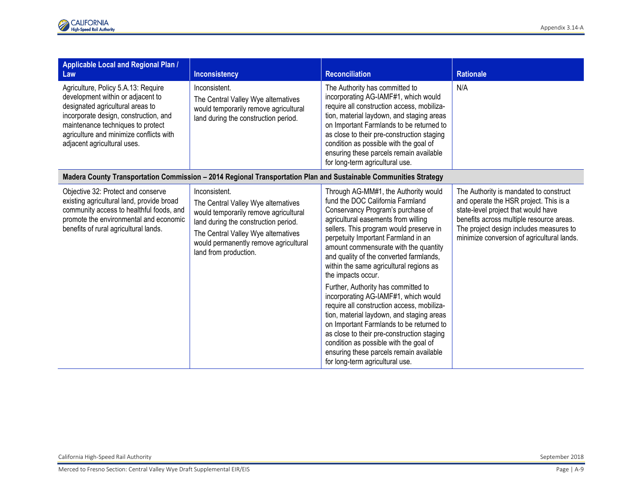| Applicable Local and Regional Plan /<br>Law                                                                                                                                                                                                                          | <b>Inconsistency</b>                                                                                                                                                                                                                           | <b>Reconciliation</b>                                                                                                                                                                                                                                                                                                                                                                                                                                                                                                                                                                                                                                                                                                                                                                   | <b>Rationale</b>                                                                                                                                                                                                                                             |
|----------------------------------------------------------------------------------------------------------------------------------------------------------------------------------------------------------------------------------------------------------------------|------------------------------------------------------------------------------------------------------------------------------------------------------------------------------------------------------------------------------------------------|-----------------------------------------------------------------------------------------------------------------------------------------------------------------------------------------------------------------------------------------------------------------------------------------------------------------------------------------------------------------------------------------------------------------------------------------------------------------------------------------------------------------------------------------------------------------------------------------------------------------------------------------------------------------------------------------------------------------------------------------------------------------------------------------|--------------------------------------------------------------------------------------------------------------------------------------------------------------------------------------------------------------------------------------------------------------|
| Agriculture, Policy 5.A.13: Require<br>development within or adjacent to<br>designated agricultural areas to<br>incorporate design, construction, and<br>maintenance techniques to protect<br>agriculture and minimize conflicts with<br>adjacent agricultural uses. | Inconsistent.<br>The Central Valley Wye alternatives<br>would temporarily remove agricultural<br>land during the construction period.                                                                                                          | The Authority has committed to<br>incorporating AG-IAMF#1, which would<br>require all construction access, mobiliza-<br>tion, material laydown, and staging areas<br>on Important Farmlands to be returned to<br>as close to their pre-construction staging<br>condition as possible with the goal of<br>ensuring these parcels remain available<br>for long-term agricultural use.                                                                                                                                                                                                                                                                                                                                                                                                     | N/A                                                                                                                                                                                                                                                          |
|                                                                                                                                                                                                                                                                      | Madera County Transportation Commission - 2014 Regional Transportation Plan and Sustainable Communities Strategy                                                                                                                               |                                                                                                                                                                                                                                                                                                                                                                                                                                                                                                                                                                                                                                                                                                                                                                                         |                                                                                                                                                                                                                                                              |
| Objective 32: Protect and conserve<br>existing agricultural land, provide broad<br>community access to healthful foods, and<br>promote the environmental and economic<br>benefits of rural agricultural lands.                                                       | Inconsistent.<br>The Central Valley Wye alternatives<br>would temporarily remove agricultural<br>land during the construction period.<br>The Central Valley Wye alternatives<br>would permanently remove agricultural<br>land from production. | Through AG-MM#1, the Authority would<br>fund the DOC California Farmland<br>Conservancy Program's purchase of<br>agricultural easements from willing<br>sellers. This program would preserve in<br>perpetuity Important Farmland in an<br>amount commensurate with the quantity<br>and quality of the converted farmlands,<br>within the same agricultural regions as<br>the impacts occur.<br>Further, Authority has committed to<br>incorporating AG-IAMF#1, which would<br>require all construction access, mobiliza-<br>tion, material laydown, and staging areas<br>on Important Farmlands to be returned to<br>as close to their pre-construction staging<br>condition as possible with the goal of<br>ensuring these parcels remain available<br>for long-term agricultural use. | The Authority is mandated to construct<br>and operate the HSR project. This is a<br>state-level project that would have<br>benefits across multiple resource areas.<br>The project design includes measures to<br>minimize conversion of agricultural lands. |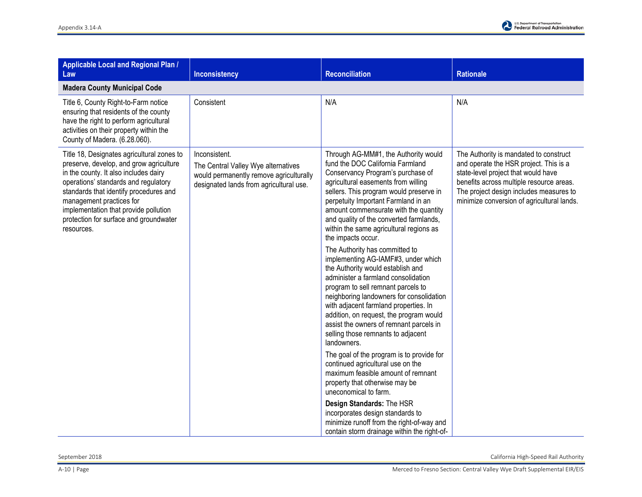

| Applicable Local and Regional Plan /<br>Law                                                                                                                                                                                                                                                                                                   | <b>Inconsistency</b>                                                                                                                       | <b>Reconciliation</b>                                                                                                                                                                                                                                                                                                                                                                                                                                                                                                                                                                                                                                                                                                                                                                                                                                                                                                                                                                                                                                                                                                                                                  | <b>Rationale</b>                                                                                                                                                                                                                                             |
|-----------------------------------------------------------------------------------------------------------------------------------------------------------------------------------------------------------------------------------------------------------------------------------------------------------------------------------------------|--------------------------------------------------------------------------------------------------------------------------------------------|------------------------------------------------------------------------------------------------------------------------------------------------------------------------------------------------------------------------------------------------------------------------------------------------------------------------------------------------------------------------------------------------------------------------------------------------------------------------------------------------------------------------------------------------------------------------------------------------------------------------------------------------------------------------------------------------------------------------------------------------------------------------------------------------------------------------------------------------------------------------------------------------------------------------------------------------------------------------------------------------------------------------------------------------------------------------------------------------------------------------------------------------------------------------|--------------------------------------------------------------------------------------------------------------------------------------------------------------------------------------------------------------------------------------------------------------|
| <b>Madera County Municipal Code</b>                                                                                                                                                                                                                                                                                                           |                                                                                                                                            |                                                                                                                                                                                                                                                                                                                                                                                                                                                                                                                                                                                                                                                                                                                                                                                                                                                                                                                                                                                                                                                                                                                                                                        |                                                                                                                                                                                                                                                              |
| Title 6, County Right-to-Farm notice<br>ensuring that residents of the county<br>have the right to perform agricultural<br>activities on their property within the<br>County of Madera. (6.28.060).                                                                                                                                           | Consistent                                                                                                                                 | N/A                                                                                                                                                                                                                                                                                                                                                                                                                                                                                                                                                                                                                                                                                                                                                                                                                                                                                                                                                                                                                                                                                                                                                                    | N/A                                                                                                                                                                                                                                                          |
| Title 18, Designates agricultural zones to<br>preserve, develop, and grow agriculture<br>in the county. It also includes dairy<br>operations' standards and regulatory<br>standards that identify procedures and<br>management practices for<br>implementation that provide pollution<br>protection for surface and groundwater<br>resources. | Inconsistent.<br>The Central Valley Wye alternatives<br>would permanently remove agriculturally<br>designated lands from agricultural use. | Through AG-MM#1, the Authority would<br>fund the DOC California Farmland<br>Conservancy Program's purchase of<br>agricultural easements from willing<br>sellers. This program would preserve in<br>perpetuity Important Farmland in an<br>amount commensurate with the quantity<br>and quality of the converted farmlands,<br>within the same agricultural regions as<br>the impacts occur.<br>The Authority has committed to<br>implementing AG-IAMF#3, under which<br>the Authority would establish and<br>administer a farmland consolidation<br>program to sell remnant parcels to<br>neighboring landowners for consolidation<br>with adjacent farmland properties. In<br>addition, on request, the program would<br>assist the owners of remnant parcels in<br>selling those remnants to adjacent<br>landowners.<br>The goal of the program is to provide for<br>continued agricultural use on the<br>maximum feasible amount of remnant<br>property that otherwise may be<br>uneconomical to farm.<br>Design Standards: The HSR<br>incorporates design standards to<br>minimize runoff from the right-of-way and<br>contain storm drainage within the right-of- | The Authority is mandated to construct<br>and operate the HSR project. This is a<br>state-level project that would have<br>benefits across multiple resource areas.<br>The project design includes measures to<br>minimize conversion of agricultural lands. |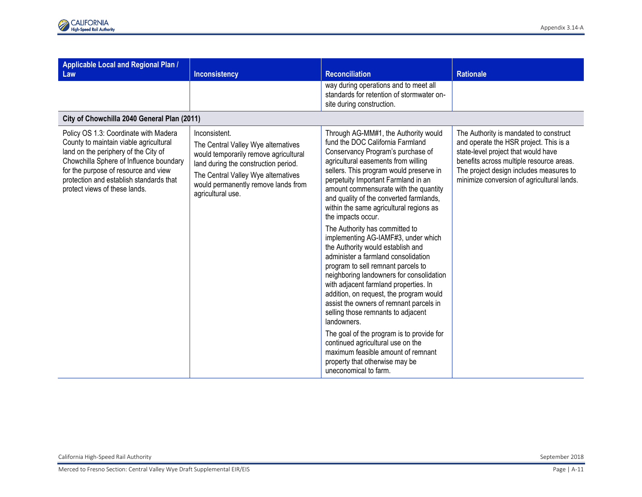| Applicable Local and Regional Plan /<br>Law                                                                                                                                                                                                                                            | Inconsistency                                                                                                                                                                                                                            | <b>Reconciliation</b>                                                                                                                                                                                                                                                                                                                                                                                                                                                                                                                                                                                                                                                                                                                                                                                                                                                                                                                                                                                     | <b>Rationale</b>                                                                                                                                                                                                                                             |
|----------------------------------------------------------------------------------------------------------------------------------------------------------------------------------------------------------------------------------------------------------------------------------------|------------------------------------------------------------------------------------------------------------------------------------------------------------------------------------------------------------------------------------------|-----------------------------------------------------------------------------------------------------------------------------------------------------------------------------------------------------------------------------------------------------------------------------------------------------------------------------------------------------------------------------------------------------------------------------------------------------------------------------------------------------------------------------------------------------------------------------------------------------------------------------------------------------------------------------------------------------------------------------------------------------------------------------------------------------------------------------------------------------------------------------------------------------------------------------------------------------------------------------------------------------------|--------------------------------------------------------------------------------------------------------------------------------------------------------------------------------------------------------------------------------------------------------------|
|                                                                                                                                                                                                                                                                                        |                                                                                                                                                                                                                                          | way during operations and to meet all<br>standards for retention of stormwater on-<br>site during construction.                                                                                                                                                                                                                                                                                                                                                                                                                                                                                                                                                                                                                                                                                                                                                                                                                                                                                           |                                                                                                                                                                                                                                                              |
| City of Chowchilla 2040 General Plan (2011)                                                                                                                                                                                                                                            |                                                                                                                                                                                                                                          |                                                                                                                                                                                                                                                                                                                                                                                                                                                                                                                                                                                                                                                                                                                                                                                                                                                                                                                                                                                                           |                                                                                                                                                                                                                                                              |
| Policy OS 1.3: Coordinate with Madera<br>County to maintain viable agricultural<br>land on the periphery of the City of<br>Chowchilla Sphere of Influence boundary<br>for the purpose of resource and view<br>protection and establish standards that<br>protect views of these lands. | Inconsistent.<br>The Central Valley Wye alternatives<br>would temporarily remove agricultural<br>land during the construction period.<br>The Central Valley Wye alternatives<br>would permanently remove lands from<br>agricultural use. | Through AG-MM#1, the Authority would<br>fund the DOC California Farmland<br>Conservancy Program's purchase of<br>agricultural easements from willing<br>sellers. This program would preserve in<br>perpetuity Important Farmland in an<br>amount commensurate with the quantity<br>and quality of the converted farmlands,<br>within the same agricultural regions as<br>the impacts occur.<br>The Authority has committed to<br>implementing AG-IAMF#3, under which<br>the Authority would establish and<br>administer a farmland consolidation<br>program to sell remnant parcels to<br>neighboring landowners for consolidation<br>with adjacent farmland properties. In<br>addition, on request, the program would<br>assist the owners of remnant parcels in<br>selling those remnants to adjacent<br>landowners.<br>The goal of the program is to provide for<br>continued agricultural use on the<br>maximum feasible amount of remnant<br>property that otherwise may be<br>uneconomical to farm. | The Authority is mandated to construct<br>and operate the HSR project. This is a<br>state-level project that would have<br>benefits across multiple resource areas.<br>The project design includes measures to<br>minimize conversion of agricultural lands. |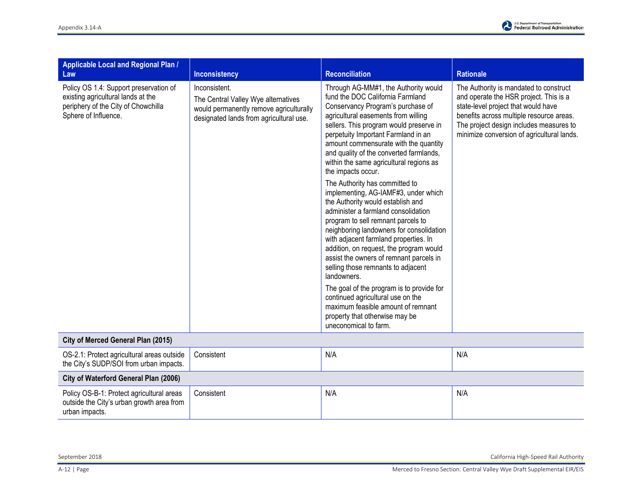

| Applicable Local and Regional Plan /<br>Law                                                                                                 | <b>Inconsistency</b>                                                                                                                       | <b>Reconciliation</b>                                                                                                                                                                                                                                                                                                                                                                                                                                                                                                                                                                                                                                                                                                                                                                                                                                                                                                                                                                                      | <b>Rationale</b>                                                                                                                                                                                                                                             |
|---------------------------------------------------------------------------------------------------------------------------------------------|--------------------------------------------------------------------------------------------------------------------------------------------|------------------------------------------------------------------------------------------------------------------------------------------------------------------------------------------------------------------------------------------------------------------------------------------------------------------------------------------------------------------------------------------------------------------------------------------------------------------------------------------------------------------------------------------------------------------------------------------------------------------------------------------------------------------------------------------------------------------------------------------------------------------------------------------------------------------------------------------------------------------------------------------------------------------------------------------------------------------------------------------------------------|--------------------------------------------------------------------------------------------------------------------------------------------------------------------------------------------------------------------------------------------------------------|
| Policy OS 1.4: Support preservation of<br>existing agricultural lands at the<br>periphery of the City of Chowchilla<br>Sphere of Influence. | Inconsistent.<br>The Central Valley Wye alternatives<br>would permanently remove agriculturally<br>designated lands from agricultural use. | Through AG-MM#1, the Authority would<br>fund the DOC California Farmland<br>Conservancy Program's purchase of<br>agricultural easements from willing<br>sellers. This program would preserve in<br>perpetuity Important Farmland in an<br>amount commensurate with the quantity<br>and quality of the converted farmlands,<br>within the same agricultural regions as<br>the impacts occur.<br>The Authority has committed to<br>implementing, AG-IAMF#3, under which<br>the Authority would establish and<br>administer a farmland consolidation<br>program to sell remnant parcels to<br>neighboring landowners for consolidation<br>with adjacent farmland properties. In<br>addition, on request, the program would<br>assist the owners of remnant parcels in<br>selling those remnants to adjacent<br>landowners.<br>The goal of the program is to provide for<br>continued agricultural use on the<br>maximum feasible amount of remnant<br>property that otherwise may be<br>uneconomical to farm. | The Authority is mandated to construct<br>and operate the HSR project. This is a<br>state-level project that would have<br>benefits across multiple resource areas.<br>The project design includes measures to<br>minimize conversion of agricultural lands. |
| City of Merced General Plan (2015)                                                                                                          |                                                                                                                                            |                                                                                                                                                                                                                                                                                                                                                                                                                                                                                                                                                                                                                                                                                                                                                                                                                                                                                                                                                                                                            |                                                                                                                                                                                                                                                              |
| OS-2.1: Protect agricultural areas outside<br>the City's SUDP/SOI from urban impacts.                                                       | Consistent                                                                                                                                 | N/A                                                                                                                                                                                                                                                                                                                                                                                                                                                                                                                                                                                                                                                                                                                                                                                                                                                                                                                                                                                                        | N/A                                                                                                                                                                                                                                                          |
| City of Waterford General Plan (2006)                                                                                                       |                                                                                                                                            |                                                                                                                                                                                                                                                                                                                                                                                                                                                                                                                                                                                                                                                                                                                                                                                                                                                                                                                                                                                                            |                                                                                                                                                                                                                                                              |
| Policy OS-B-1: Protect agricultural areas<br>outside the City's urban growth area from<br>urban impacts.                                    | Consistent                                                                                                                                 | N/A                                                                                                                                                                                                                                                                                                                                                                                                                                                                                                                                                                                                                                                                                                                                                                                                                                                                                                                                                                                                        | N/A                                                                                                                                                                                                                                                          |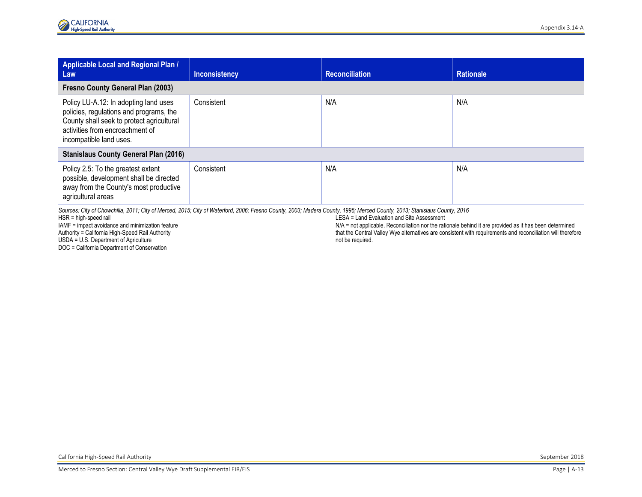| Applicable Local and Regional Plan /<br>Law                                                                                                                                                 | <b>Inconsistency</b> | Reconciliation | <b>Rationale</b> |
|---------------------------------------------------------------------------------------------------------------------------------------------------------------------------------------------|----------------------|----------------|------------------|
| <b>Fresno County General Plan (2003)</b>                                                                                                                                                    |                      |                |                  |
| Policy LU-A.12: In adopting land uses<br>policies, regulations and programs, the<br>County shall seek to protect agricultural<br>activities from encroachment of<br>incompatible land uses. | Consistent           | N/A            | N/A              |
| <b>Stanislaus County General Plan (2016)</b>                                                                                                                                                |                      |                |                  |
| Policy 2.5: To the greatest extent<br>possible, development shall be directed<br>away from the County's most productive<br>agricultural areas                                               | Consistent           | N/A            | N/A              |

*Sources: City of Chowchilla, 2011; City of Merced, 2015; City of Waterford, 2006; Fresno County, 2003; Madera County, 1995; Merced County, 2013; Stanislaus County, 2016*

HSR = high-speed rail

IAMF = impact avoidance and minimization feature

Authority = California High-Speed Rail Authority

USDA = U.S. Department of Agriculture

DOC = California Department of Conservation

LESA = Land Evaluation and Site Assessment

N/A = not applicable. Reconciliation nor the rationale behind it are provided as it has been determined that the Central Valley Wye alternatives are consistent with requirements and reconciliation will therefore not be required.